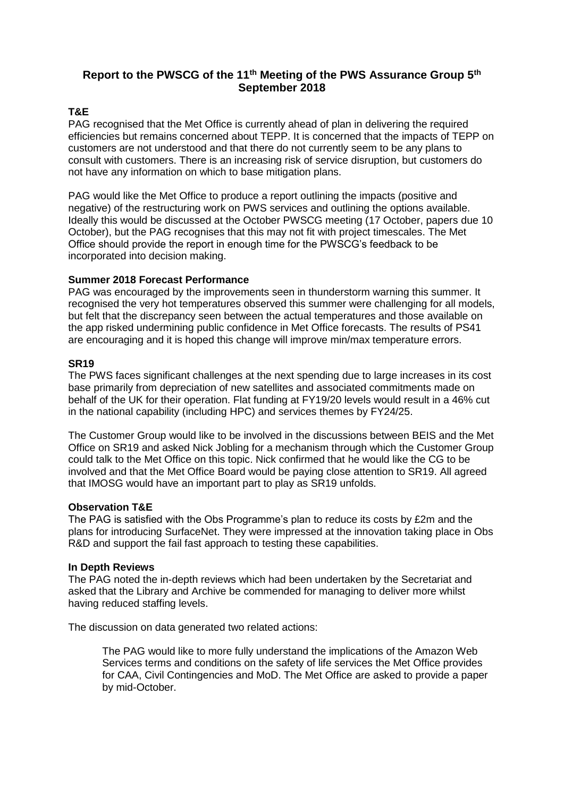# **Report to the PWSCG of the 11th Meeting of the PWS Assurance Group 5th September 2018**

# **T&E**

PAG recognised that the Met Office is currently ahead of plan in delivering the required efficiencies but remains concerned about TEPP. It is concerned that the impacts of TEPP on customers are not understood and that there do not currently seem to be any plans to consult with customers. There is an increasing risk of service disruption, but customers do not have any information on which to base mitigation plans.

PAG would like the Met Office to produce a report outlining the impacts (positive and negative) of the restructuring work on PWS services and outlining the options available. Ideally this would be discussed at the October PWSCG meeting (17 October, papers due 10 October), but the PAG recognises that this may not fit with project timescales. The Met Office should provide the report in enough time for the PWSCG's feedback to be incorporated into decision making.

## **Summer 2018 Forecast Performance**

PAG was encouraged by the improvements seen in thunderstorm warning this summer. It recognised the very hot temperatures observed this summer were challenging for all models, but felt that the discrepancy seen between the actual temperatures and those available on the app risked undermining public confidence in Met Office forecasts. The results of PS41 are encouraging and it is hoped this change will improve min/max temperature errors.

### **SR19**

The PWS faces significant challenges at the next spending due to large increases in its cost base primarily from depreciation of new satellites and associated commitments made on behalf of the UK for their operation. Flat funding at FY19/20 levels would result in a 46% cut in the national capability (including HPC) and services themes by FY24/25.

The Customer Group would like to be involved in the discussions between BEIS and the Met Office on SR19 and asked Nick Jobling for a mechanism through which the Customer Group could talk to the Met Office on this topic. Nick confirmed that he would like the CG to be involved and that the Met Office Board would be paying close attention to SR19. All agreed that IMOSG would have an important part to play as SR19 unfolds.

### **Observation T&E**

The PAG is satisfied with the Obs Programme's plan to reduce its costs by £2m and the plans for introducing SurfaceNet. They were impressed at the innovation taking place in Obs R&D and support the fail fast approach to testing these capabilities.

### **In Depth Reviews**

The PAG noted the in-depth reviews which had been undertaken by the Secretariat and asked that the Library and Archive be commended for managing to deliver more whilst having reduced staffing levels.

The discussion on data generated two related actions:

The PAG would like to more fully understand the implications of the Amazon Web Services terms and conditions on the safety of life services the Met Office provides for CAA, Civil Contingencies and MoD. The Met Office are asked to provide a paper by mid-October.